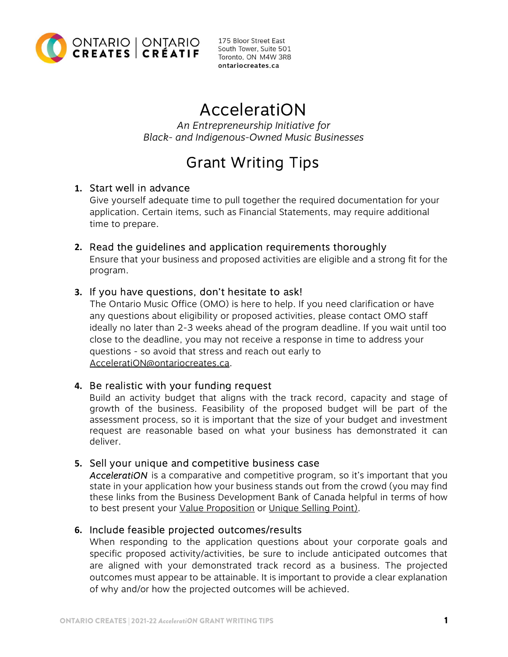

175 Bloor Street East South Tower, Suite 501 Toronto, ON M4W 3R8 ontariocreates.ca

# AcceleratiON

An Entrepreneurship Initiative for Black- and Indigenous-Owned Music Businesses

# Grant Writing Tips

## 1. Start well in advance

Give yourself adequate time to pull together the required documentation for your application. Certain items, such as Financial Statements, may require additional time to prepare.

## 2. Read the guidelines and application requirements thoroughly

Ensure that your business and proposed activities are eligible and a strong fit for the program.

## 3. If you have questions, don't hesitate to ask!

The Ontario Music Office (OMO) is here to help. If you need clarification or have any questions about eligibility or proposed activities, please contact OMO staff ideally no later than 2-3 weeks ahead of the program deadline. If you wait until too close to the deadline, you may not receive a response in time to address your questions - so avoid that stress and reach out early to AcceleratiON@ontariocreates.ca.

## 4. Be realistic with your funding request

Build an activity budget that aligns with the track record, capacity and stage of growth of the business. Feasibility of the proposed budget will be part of the assessment process, so it is important that the size of your budget and investment request are reasonable based on what your business has demonstrated it can deliver.

## 5. Sell your unique and competitive business case

AcceleratiON is a comparative and competitive program, so it's important that you state in your application how your business stands out from the crowd (you may find these links from the Business Development Bank of Canada helpful in terms of how to best present your [Value Proposition](https://www.bdc.ca/en/articles-tools/marketing-sales-export/marketing/steps-to-create-value-proposition-that-will-supercharge-your-sales) or [Unique Selling Point](https://www.bdc.ca/en/articles-tools/marketing-sales-export/marketing/finding-your-unique-selling-point)).

## 6. Include feasible projected outcomes/results

When responding to the application questions about your corporate goals and specific proposed activity/activities, be sure to include anticipated outcomes that are aligned with your demonstrated track record as a business. The projected outcomes must appear to be attainable. It is important to provide a clear explanation of why and/or how the projected outcomes will be achieved.